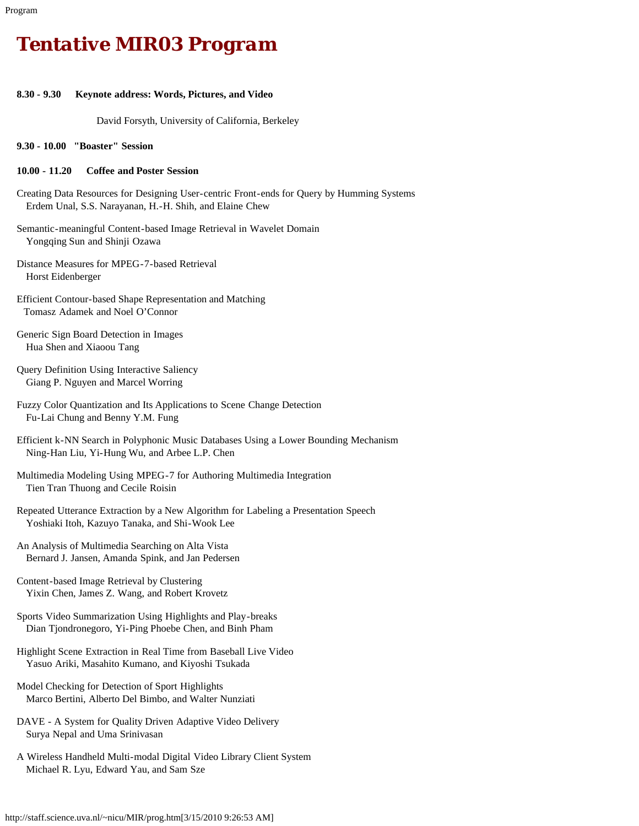# *Tentative MIR03 Program*

## **8.30 - 9.30 Keynote address: Words, Pictures, and Video**

David Forsyth, University of California, Berkeley

**9.30 - 10.00 "Boaster" Session**

#### **10.00 - 11.20 Coffee and Poster Session**

- Creating Data Resources for Designing User-centric Front-ends for Query by Humming Systems Erdem Unal, S.S. Narayanan, H.-H. Shih, and Elaine Chew
- Semantic-meaningful Content-based Image Retrieval in Wavelet Domain Yongqing Sun and Shinji Ozawa
- Distance Measures for MPEG-7-based Retrieval Horst Eidenberger
- Efficient Contour-based Shape Representation and Matching Tomasz Adamek and Noel O'Connor
- Generic Sign Board Detection in Images Hua Shen and Xiaoou Tang
- Query Definition Using Interactive Saliency Giang P. Nguyen and Marcel Worring
- Fuzzy Color Quantization and Its Applications to Scene Change Detection Fu-Lai Chung and Benny Y.M. Fung
- Efficient k-NN Search in Polyphonic Music Databases Using a Lower Bounding Mechanism Ning-Han Liu, Yi-Hung Wu, and Arbee L.P. Chen
- Multimedia Modeling Using MPEG-7 for Authoring Multimedia Integration Tien Tran Thuong and Cecile Roisin
- Repeated Utterance Extraction by a New Algorithm for Labeling a Presentation Speech Yoshiaki Itoh, Kazuyo Tanaka, and Shi-Wook Lee
- An Analysis of Multimedia Searching on Alta Vista Bernard J. Jansen, Amanda Spink, and Jan Pedersen
- Content-based Image Retrieval by Clustering Yixin Chen, James Z. Wang, and Robert Krovetz
- Sports Video Summarization Using Highlights and Play-breaks Dian Tjondronegoro, Yi-Ping Phoebe Chen, and Binh Pham
- Highlight Scene Extraction in Real Time from Baseball Live Video Yasuo Ariki, Masahito Kumano, and Kiyoshi Tsukada
- Model Checking for Detection of Sport Highlights Marco Bertini, Alberto Del Bimbo, and Walter Nunziati
- DAVE A System for Quality Driven Adaptive Video Delivery Surya Nepal and Uma Srinivasan
- A Wireless Handheld Multi-modal Digital Video Library Client System Michael R. Lyu, Edward Yau, and Sam Sze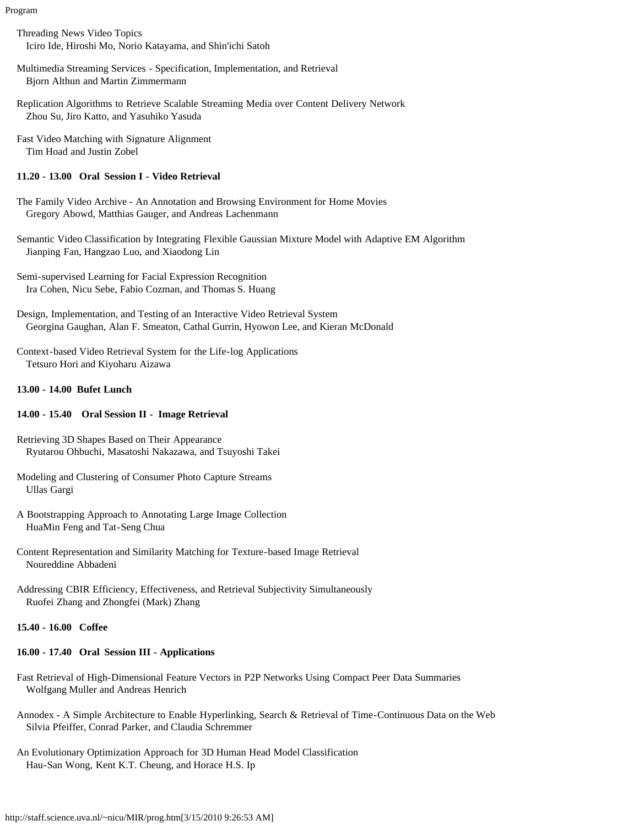Program

- Threading News Video Topics Iciro Ide, Hiroshi Mo, Norio Katayama, and Shin'ichi Satoh
- Multimedia Streaming Services Specification, Implementation, and Retrieval Bjorn Althun and Martin Zimmermann
- Replication Algorithms to Retrieve Scalable Streaming Media over Content Delivery Network Zhou Su, Jiro Katto, and Yasuhiko Yasuda
- Fast Video Matching with Signature Alignment Tim Hoad and Justin Zobel

## **11.20 - 13.00 Oral Session I - Video Retrieval**

- The Family Video Archive An Annotation and Browsing Environment for Home Movies Gregory Abowd, Matthias Gauger, and Andreas Lachenmann
- Semantic Video Classification by Integrating Flexible Gaussian Mixture Model with Adaptive EM Algorithm Jianping Fan, Hangzao Luo, and Xiaodong Lin

Semi-supervised Learning for Facial Expression Recognition Ira Cohen, Nicu Sebe, Fabio Cozman, and Thomas S. Huang

- Design, Implementation, and Testing of an Interactive Video Retrieval System Georgina Gaughan, Alan F. Smeaton, Cathal Gurrin, Hyowon Lee, and Kieran McDonald
- Context-based Video Retrieval System for the Life-log Applications Tetsuro Hori and Kiyoharu Aizawa

### **13.00 - 14.00 Bufet Lunch**

#### **14.00 - 15.40 Oral Session II - Image Retrieval**

- Retrieving 3D Shapes Based on Their Appearance Ryutarou Ohbuchi, Masatoshi Nakazawa, and Tsuyoshi Takei
- Modeling and Clustering of Consumer Photo Capture Streams Ullas Gargi
- A Bootstrapping Approach to Annotating Large Image Collection HuaMin Feng and Tat-Seng Chua
- Content Representation and Similarity Matching for Texture-based Image Retrieval Noureddine Abbadeni
- Addressing CBIR Efficiency, Effectiveness, and Retrieval Subjectivity Simultaneously Ruofei Zhang and Zhongfei (Mark) Zhang

# **15.40 - 16.00 Coffee**

# **16.00 - 17.40 Oral Session III - Applications**

- Fast Retrieval of High-Dimensional Feature Vectors in P2P Networks Using Compact Peer Data Summaries Wolfgang Muller and Andreas Henrich
- Annodex A Simple Architecture to Enable Hyperlinking, Search & Retrieval of Time-Continuous Data on the Web Silvia Pfeiffer, Conrad Parker, and Claudia Schremmer
- An Evolutionary Optimization Approach for 3D Human Head Model Classification Hau-San Wong, Kent K.T. Cheung, and Horace H.S. Ip